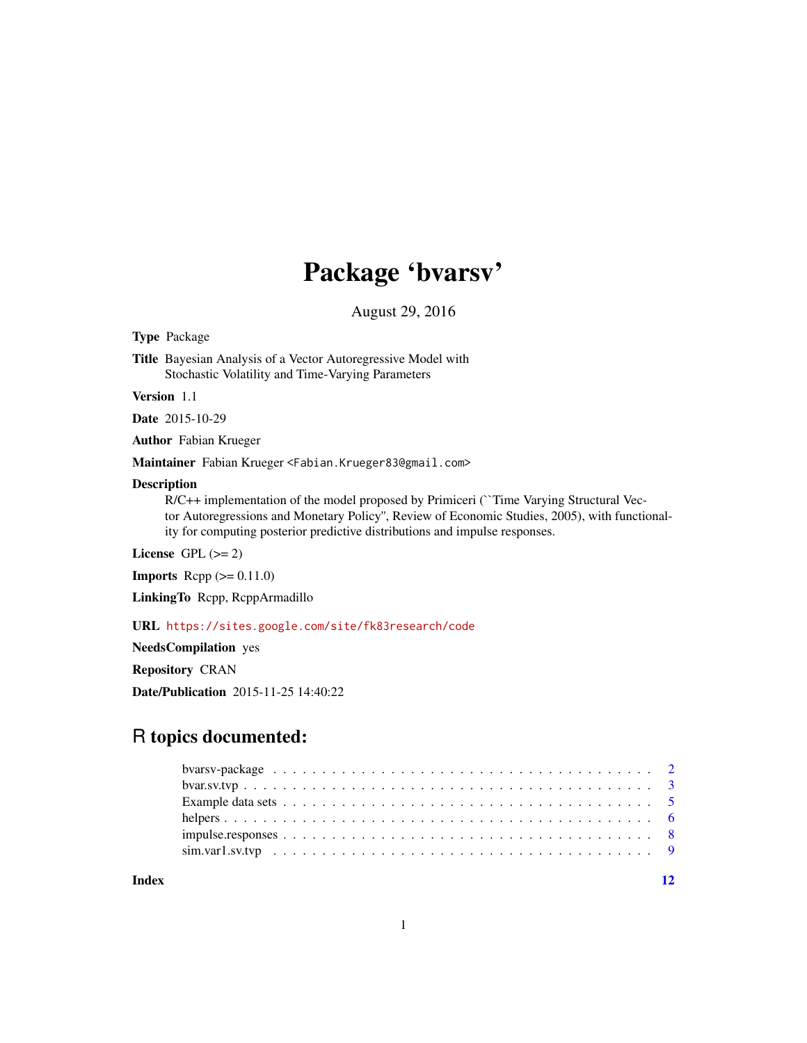## Package 'bvarsv'

August 29, 2016

<span id="page-0-0"></span>Type Package

Title Bayesian Analysis of a Vector Autoregressive Model with Stochastic Volatility and Time-Varying Parameters

Version 1.1

Date 2015-10-29

Author Fabian Krueger

Maintainer Fabian Krueger <Fabian.Krueger83@gmail.com>

## Description

R/C++ implementation of the model proposed by Primiceri (``Time Varying Structural Vector Autoregressions and Monetary Policy'', Review of Economic Studies, 2005), with functionality for computing posterior predictive distributions and impulse responses.

License GPL  $(>= 2)$ 

**Imports** Rcpp  $(>= 0.11.0)$ 

LinkingTo Rcpp, RcppArmadillo

URL <https://sites.google.com/site/fk83research/code>

NeedsCompilation yes Repository CRAN Date/Publication 2015-11-25 14:40:22

## R topics documented:

**Index** [12](#page-11-0)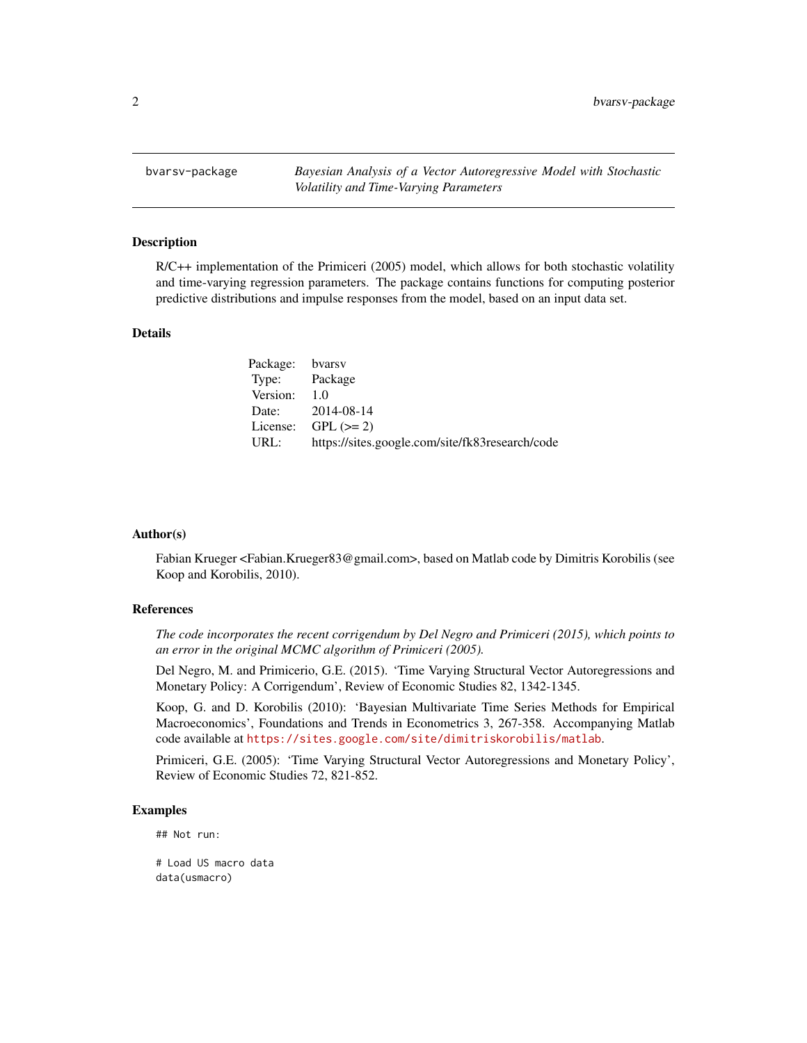<span id="page-1-0"></span>bvarsv-package *Bayesian Analysis of a Vector Autoregressive Model with Stochastic Volatility and Time-Varying Parameters*

#### Description

R/C++ implementation of the Primiceri (2005) model, which allows for both stochastic volatility and time-varying regression parameters. The package contains functions for computing posterior predictive distributions and impulse responses from the model, based on an input data set.

#### Details

| Package: bvarsv |                                                 |
|-----------------|-------------------------------------------------|
| Type: Package   |                                                 |
| Version:        | 1.0                                             |
|                 | Date: 2014-08-14                                |
|                 | License: $GPL (> = 2)$                          |
| URL:            | https://sites.google.com/site/fk83research/code |

#### Author(s)

Fabian Krueger <Fabian.Krueger83@gmail.com>, based on Matlab code by Dimitris Korobilis (see Koop and Korobilis, 2010).

## References

*The code incorporates the recent corrigendum by Del Negro and Primiceri (2015), which points to an error in the original MCMC algorithm of Primiceri (2005).*

Del Negro, M. and Primicerio, G.E. (2015). 'Time Varying Structural Vector Autoregressions and Monetary Policy: A Corrigendum', Review of Economic Studies 82, 1342-1345.

Koop, G. and D. Korobilis (2010): 'Bayesian Multivariate Time Series Methods for Empirical Macroeconomics', Foundations and Trends in Econometrics 3, 267-358. Accompanying Matlab code available at <https://sites.google.com/site/dimitriskorobilis/matlab>.

Primiceri, G.E. (2005): 'Time Varying Structural Vector Autoregressions and Monetary Policy', Review of Economic Studies 72, 821-852.

#### Examples

## Not run:

# Load US macro data data(usmacro)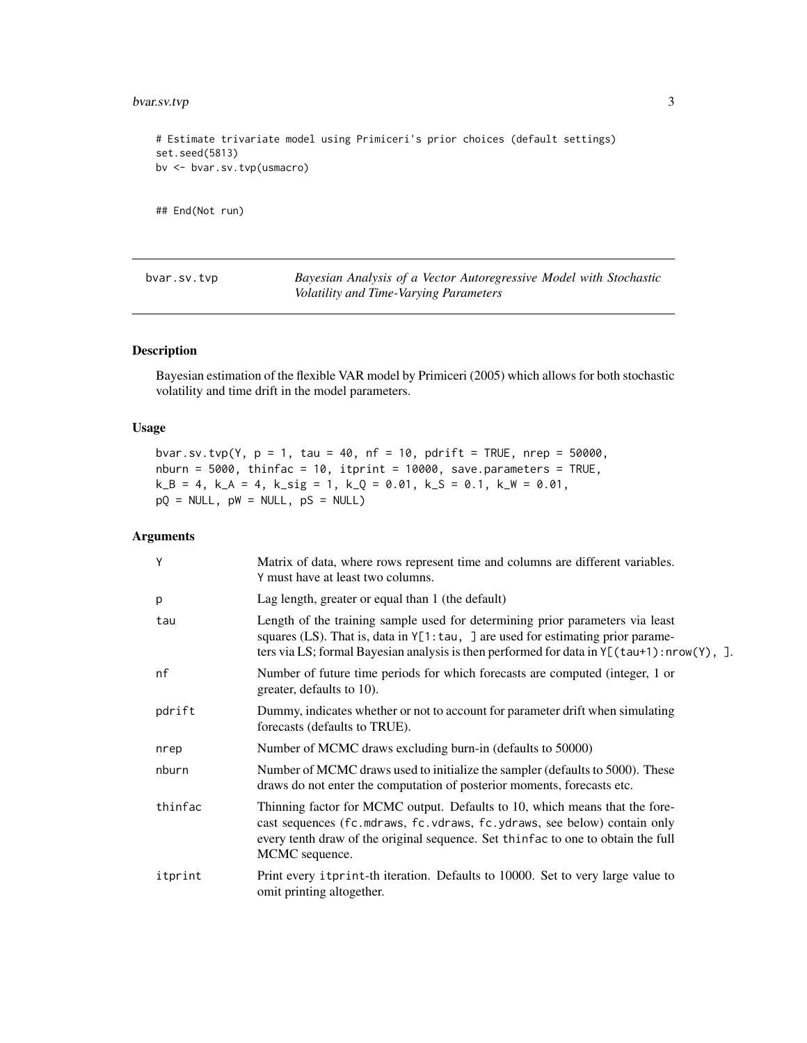## <span id="page-2-0"></span>bvar.sv.tvp 3

```
# Estimate trivariate model using Primiceri's prior choices (default settings)
set.seed(5813)
bv <- bvar.sv.tvp(usmacro)
```
## End(Not run)

<span id="page-2-1"></span>

| byar.sv.tvp | Bayesian Analysis of a Vector Autoregressive Model with Stochastic |
|-------------|--------------------------------------------------------------------|
|             | Volatility and Time-Varying Parameters                             |

## Description

Bayesian estimation of the flexible VAR model by Primiceri (2005) which allows for both stochastic volatility and time drift in the model parameters.

## Usage

```
bvar.sv.tvp(Y, p = 1, tau = 40, nf = 10, pdrift = TRUE, nrep = 50000,
nburn = 5000, thinfac = 10, itprint = 10000, save.parameters = TRUE,
k_B = 4, k_A = 4, k_s = 1, k_Q = 0.01, k_s = 0.1, k_W = 0.01,
pQ = NULL, pW = NULL, pS = NULL
```
## Arguments

| Y       | Matrix of data, where rows represent time and columns are different variables.<br>Y must have at least two columns.                                                                                                                                                     |
|---------|-------------------------------------------------------------------------------------------------------------------------------------------------------------------------------------------------------------------------------------------------------------------------|
| p       | Lag length, greater or equal than 1 (the default)                                                                                                                                                                                                                       |
| tau     | Length of the training sample used for determining prior parameters via least<br>squares (LS). That is, data in $Y[1:tau, ]$ are used for estimating prior parame-<br>ters via LS; formal Bayesian analysis is then performed for data in $Y[(tau10, 1) : nrow(Y), ]$ . |
| nf      | Number of future time periods for which forecasts are computed (integer, 1 or<br>greater, defaults to 10).                                                                                                                                                              |
| pdrift  | Dummy, indicates whether or not to account for parameter drift when simulating<br>forecasts (defaults to TRUE).                                                                                                                                                         |
| nrep    | Number of MCMC draws excluding burn-in (defaults to 50000)                                                                                                                                                                                                              |
| nburn   | Number of MCMC draws used to initialize the sampler (defaults to 5000). These<br>draws do not enter the computation of posterior moments, forecasts etc.                                                                                                                |
| thinfac | Thinning factor for MCMC output. Defaults to 10, which means that the fore-<br>cast sequences (fc.mdraws, fc.vdraws, fc.ydraws, see below) contain only<br>every tenth draw of the original sequence. Set thinfac to one to obtain the full<br>MCMC sequence.           |
| itprint | Print every itprint-th iteration. Defaults to 10000. Set to very large value to<br>omit printing altogether.                                                                                                                                                            |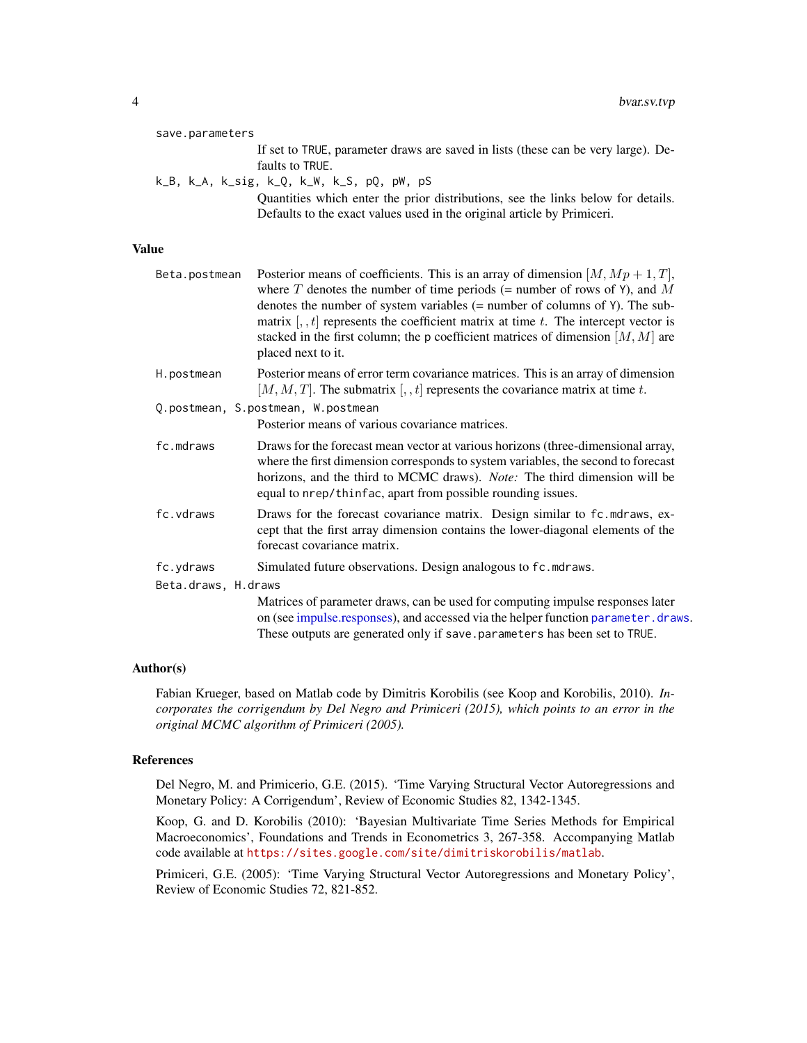<span id="page-3-0"></span>

|              | save.parameters     |                                                                                                                                                                                                                                                                                                                                                                                                                                                     |
|--------------|---------------------|-----------------------------------------------------------------------------------------------------------------------------------------------------------------------------------------------------------------------------------------------------------------------------------------------------------------------------------------------------------------------------------------------------------------------------------------------------|
|              |                     | If set to TRUE, parameter draws are saved in lists (these can be very large). De-<br>faults to TRUE.                                                                                                                                                                                                                                                                                                                                                |
|              |                     | k_B, k_A, k_sig, k_Q, k_W, k_S, pQ, pW, pS<br>Quantities which enter the prior distributions, see the links below for details.                                                                                                                                                                                                                                                                                                                      |
|              |                     | Defaults to the exact values used in the original article by Primiceri.                                                                                                                                                                                                                                                                                                                                                                             |
| <b>Value</b> |                     |                                                                                                                                                                                                                                                                                                                                                                                                                                                     |
|              | Beta.postmean       | Posterior means of coefficients. This is an array of dimension $[M, Mp+1, T]$ ,<br>where T denotes the number of time periods (= number of rows of Y), and M<br>denotes the number of system variables $(=$ number of columns of $Y$ ). The sub-<br>matrix $[0, t]$ represents the coefficient matrix at time t. The intercept vector is<br>stacked in the first column; the p coefficient matrices of dimension $[M, M]$ are<br>placed next to it. |
|              | H.postmean          | Posterior means of error term covariance matrices. This is an array of dimension<br>[M, M, T]. The submatrix [, , t] represents the covariance matrix at time t.                                                                                                                                                                                                                                                                                    |
|              |                     | Q.postmean, S.postmean, W.postmean                                                                                                                                                                                                                                                                                                                                                                                                                  |
|              |                     | Posterior means of various covariance matrices.                                                                                                                                                                                                                                                                                                                                                                                                     |
|              | fc.mdraws           | Draws for the forecast mean vector at various horizons (three-dimensional array,<br>where the first dimension corresponds to system variables, the second to forecast<br>horizons, and the third to MCMC draws). Note: The third dimension will be<br>equal to nrep/thinfac, apart from possible rounding issues.                                                                                                                                   |
|              | fc.vdraws           | Draws for the forecast covariance matrix. Design similar to fc.mdraws, ex-<br>cept that the first array dimension contains the lower-diagonal elements of the<br>forecast covariance matrix.                                                                                                                                                                                                                                                        |
|              | fc.ydraws           | Simulated future observations. Design analogous to fc.mdraws.                                                                                                                                                                                                                                                                                                                                                                                       |
|              | Beta.draws, H.draws |                                                                                                                                                                                                                                                                                                                                                                                                                                                     |
|              |                     | Matrices of parameter draws, can be used for computing impulse responses later<br>on (see impulse responses), and accessed via the helper function parameter . draws.<br>These outputs are generated only if save.parameters has been set to TRUE.                                                                                                                                                                                                  |

## Author(s)

Fabian Krueger, based on Matlab code by Dimitris Korobilis (see Koop and Korobilis, 2010). *Incorporates the corrigendum by Del Negro and Primiceri (2015), which points to an error in the original MCMC algorithm of Primiceri (2005).*

## References

Del Negro, M. and Primicerio, G.E. (2015). 'Time Varying Structural Vector Autoregressions and Monetary Policy: A Corrigendum', Review of Economic Studies 82, 1342-1345.

Koop, G. and D. Korobilis (2010): 'Bayesian Multivariate Time Series Methods for Empirical Macroeconomics', Foundations and Trends in Econometrics 3, 267-358. Accompanying Matlab code available at <https://sites.google.com/site/dimitriskorobilis/matlab>.

Primiceri, G.E. (2005): 'Time Varying Structural Vector Autoregressions and Monetary Policy', Review of Economic Studies 72, 821-852.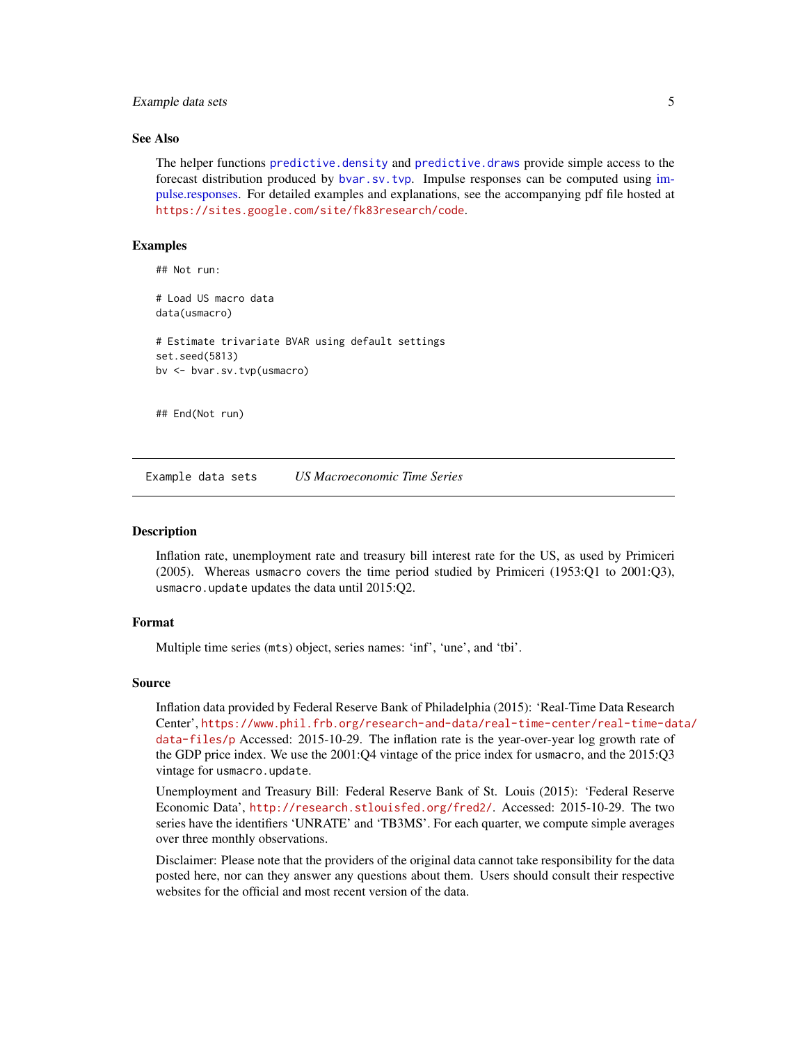## <span id="page-4-0"></span>Example data sets 5

#### See Also

The helper functions [predictive.density](#page-5-1) and [predictive.draws](#page-5-1) provide simple access to the forecast distribution produced by [bvar.sv.tvp](#page-2-1). Impulse responses can be computed using [im](#page-7-1)[pulse.responses.](#page-7-1) For detailed examples and explanations, see the accompanying pdf file hosted at <https://sites.google.com/site/fk83research/code>.

#### Examples

## Not run:

# Load US macro data data(usmacro) # Estimate trivariate BVAR using default settings set.seed(5813) bv <- bvar.sv.tvp(usmacro) ## End(Not run)

Example data sets *US Macroeconomic Time Series*

#### **Description**

Inflation rate, unemployment rate and treasury bill interest rate for the US, as used by Primiceri (2005). Whereas usmacro covers the time period studied by Primiceri (1953:Q1 to 2001:Q3), usmacro.update updates the data until 2015:Q2.

## Format

Multiple time series (mts) object, series names: 'inf', 'une', and 'tbi'.

#### Source

Inflation data provided by Federal Reserve Bank of Philadelphia (2015): 'Real-Time Data Research Center', [https://www.phil.frb.org/research-and-data/real-time-center/real-time-da](https://www.phil.frb.org/research-and-data/real-time-center/real-time-data/data-files/p)ta/ [data-files/p](https://www.phil.frb.org/research-and-data/real-time-center/real-time-data/data-files/p) Accessed: 2015-10-29. The inflation rate is the year-over-year log growth rate of the GDP price index. We use the 2001:Q4 vintage of the price index for usmacro, and the 2015:Q3 vintage for usmacro.update.

Unemployment and Treasury Bill: Federal Reserve Bank of St. Louis (2015): 'Federal Reserve Economic Data', <http://research.stlouisfed.org/fred2/>. Accessed: 2015-10-29. The two series have the identifiers 'UNRATE' and 'TB3MS'. For each quarter, we compute simple averages over three monthly observations.

Disclaimer: Please note that the providers of the original data cannot take responsibility for the data posted here, nor can they answer any questions about them. Users should consult their respective websites for the official and most recent version of the data.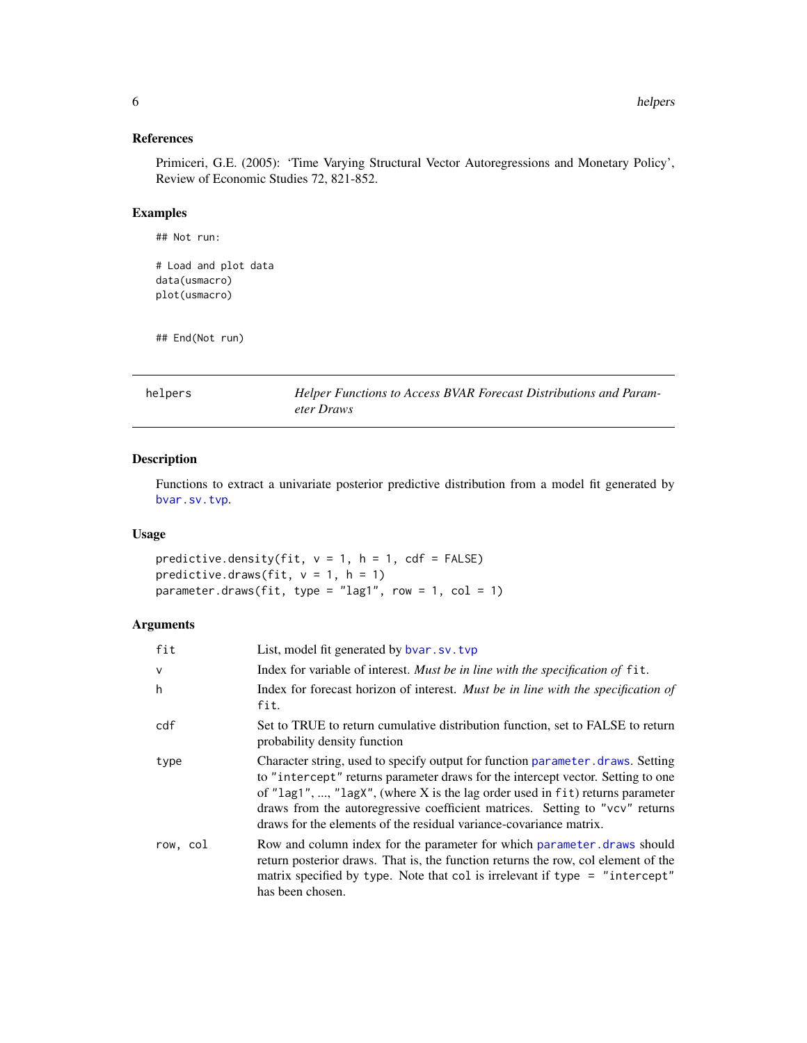## <span id="page-5-0"></span>References

Primiceri, G.E. (2005): 'Time Varying Structural Vector Autoregressions and Monetary Policy', Review of Economic Studies 72, 821-852.

## Examples

```
## Not run:
# Load and plot data
data(usmacro)
plot(usmacro)
```
## End(Not run)

helpers *Helper Functions to Access BVAR Forecast Distributions and Parameter Draws*

## <span id="page-5-1"></span>Description

Functions to extract a univariate posterior predictive distribution from a model fit generated by [bvar.sv.tvp](#page-2-1).

#### Usage

predictive.density(fit,  $v = 1$ ,  $h = 1$ , cdf = FALSE) predictive.draws(fit,  $v = 1$ ,  $h = 1$ ) parameter.draws(fit, type = "lag1", row = 1, col = 1)

## Arguments

| fit          | List, model fit generated by byar.sv.tvp                                                                                                                                                                                                                                                                                                                                                                 |
|--------------|----------------------------------------------------------------------------------------------------------------------------------------------------------------------------------------------------------------------------------------------------------------------------------------------------------------------------------------------------------------------------------------------------------|
| $\mathsf{v}$ | Index for variable of interest. Must be in line with the specification of fit.                                                                                                                                                                                                                                                                                                                           |
| h            | Index for forecast horizon of interest. Must be in line with the specification of<br>fit.                                                                                                                                                                                                                                                                                                                |
| cdf          | Set to TRUE to return cumulative distribution function, set to FALSE to return<br>probability density function                                                                                                                                                                                                                                                                                           |
| type         | Character string, used to specify output for function parameter draws. Setting<br>to "intercept" returns parameter draws for the intercept vector. Setting to one<br>of "lag1", , "lagX", (where X is the lag order used in fit) returns parameter<br>draws from the autoregressive coefficient matrices. Setting to "vcv" returns<br>draws for the elements of the residual variance-covariance matrix. |
| row, col     | Row and column index for the parameter for which parameter, draws should<br>return posterior draws. That is, the function returns the row, col element of the<br>matrix specified by type. Note that col is irrelevant if type = "intercept"<br>has been chosen.                                                                                                                                         |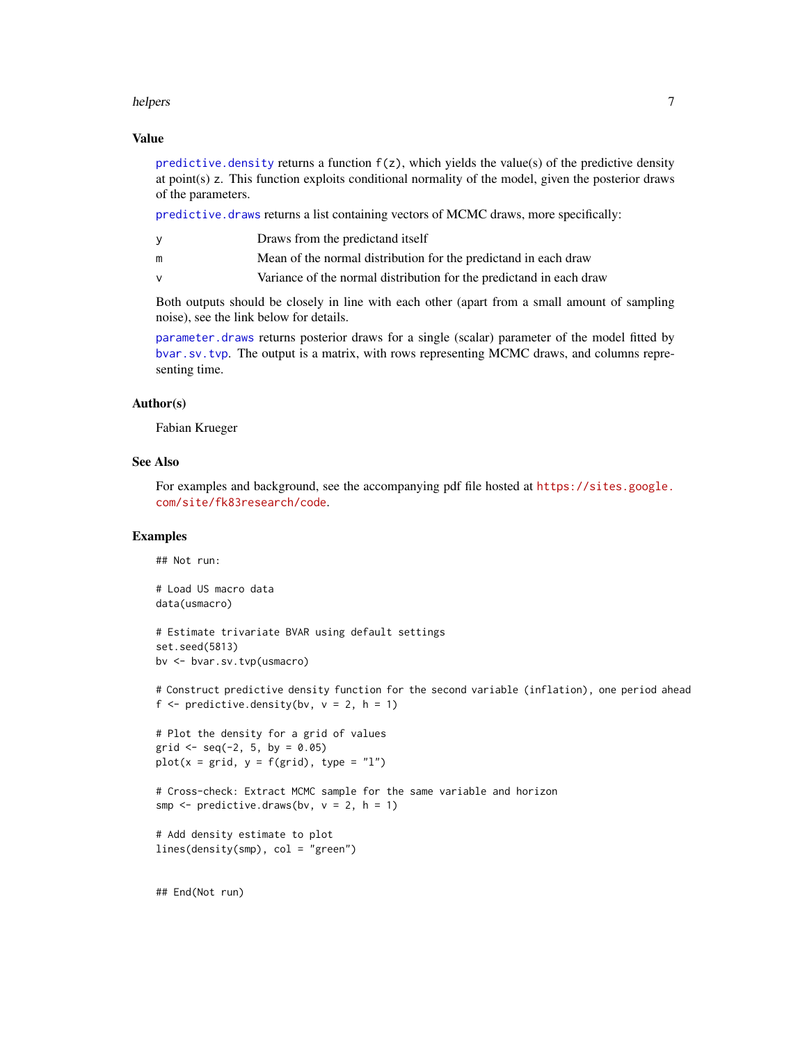#### <span id="page-6-0"></span>helpers  $\sim$  7

#### Value

predictive. density returns a function  $f(z)$ , which yields the value(s) of the predictive density at point(s) z. This function exploits conditional normality of the model, given the posterior draws of the parameters.

[predictive.draws](#page-5-1) returns a list containing vectors of MCMC draws, more specifically:

|   | Draws from the predictand itself                                    |
|---|---------------------------------------------------------------------|
| m | Mean of the normal distribution for the predictand in each draw     |
|   | Variance of the normal distribution for the predictand in each draw |

Both outputs should be closely in line with each other (apart from a small amount of sampling noise), see the link below for details.

[parameter.draws](#page-5-1) returns posterior draws for a single (scalar) parameter of the model fitted by [bvar.sv.tvp](#page-2-1). The output is a matrix, with rows representing MCMC draws, and columns representing time.

#### Author(s)

Fabian Krueger

## See Also

For examples and background, see the accompanying pdf file hosted at [https://sites.google.](https://sites.google.com/site/fk83research/code) [com/site/fk83research/code](https://sites.google.com/site/fk83research/code).

## Examples

## Not run:

```
# Load US macro data
data(usmacro)
```

```
# Estimate trivariate BVAR using default settings
set.seed(5813)
bv <- bvar.sv.tvp(usmacro)
```
# Construct predictive density function for the second variable (inflation), one period ahead f  $\le$  predictive.density(bv,  $v = 2$ , h = 1)

```
# Plot the density for a grid of values
grid \leq seq(-2, 5, by = 0.05)plot(x = grid, y = f(grid), type = "l")
```

```
# Cross-check: Extract MCMC sample for the same variable and horizon
smp \leq predictive.draws(bv, v = 2, h = 1)
```

```
# Add density estimate to plot
lines(density(smp), col = "green")
```
## End(Not run)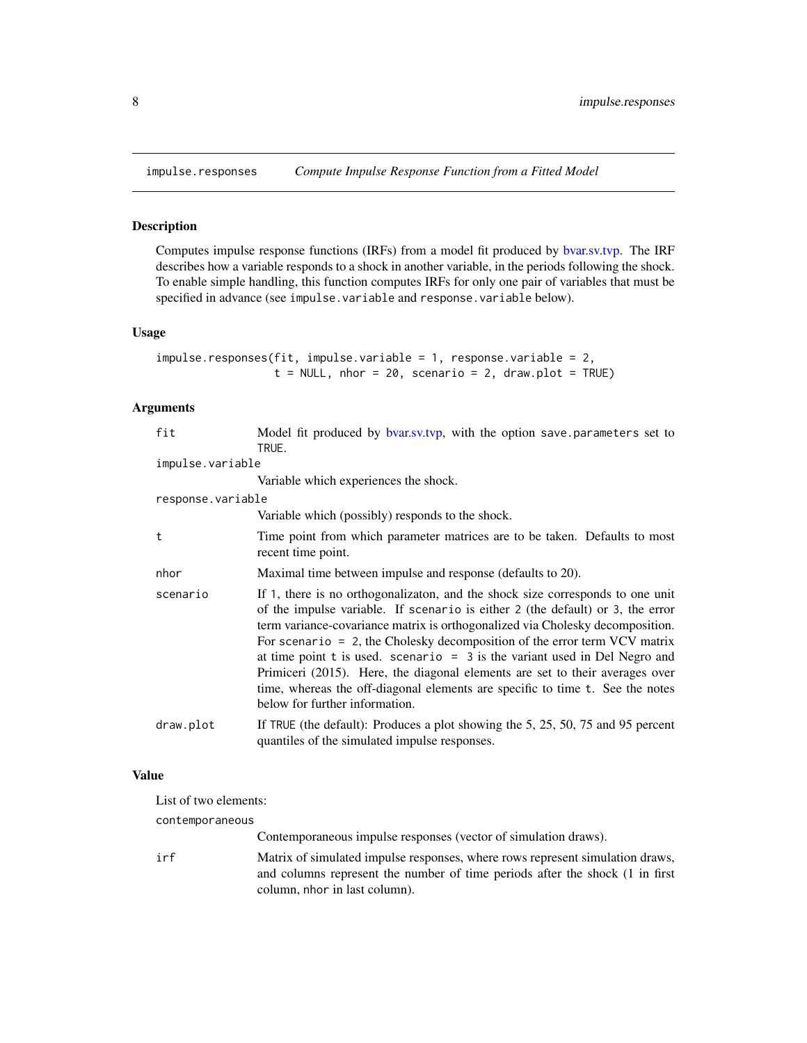<span id="page-7-1"></span><span id="page-7-0"></span>

#### Description

Computes impulse response functions (IRFs) from a model fit produced by [bvar.sv.tvp.](#page-2-1) The IRF describes how a variable responds to a shock in another variable, in the periods following the shock. To enable simple handling, this function computes IRFs for only one pair of variables that must be specified in advance (see impulse.variable and response.variable below).

#### Usage

```
impulse.responses(fit, impulse.variable = 1, response.variable = 2,
                  t = NULL, nhor = 20, scenario = 2, draw.plot = TRUE)
```
## Arguments

| fit               | Model fit produced by bvar.sv.tvp, with the option save parameters set to<br>TRUE.                                                                                                                                                                                                                                                                                                                                                                                                                                                                                                                                   |
|-------------------|----------------------------------------------------------------------------------------------------------------------------------------------------------------------------------------------------------------------------------------------------------------------------------------------------------------------------------------------------------------------------------------------------------------------------------------------------------------------------------------------------------------------------------------------------------------------------------------------------------------------|
| impulse.variable  |                                                                                                                                                                                                                                                                                                                                                                                                                                                                                                                                                                                                                      |
|                   | Variable which experiences the shock.                                                                                                                                                                                                                                                                                                                                                                                                                                                                                                                                                                                |
| response.variable |                                                                                                                                                                                                                                                                                                                                                                                                                                                                                                                                                                                                                      |
|                   | Variable which (possibly) responds to the shock.                                                                                                                                                                                                                                                                                                                                                                                                                                                                                                                                                                     |
| t                 | Time point from which parameter matrices are to be taken. Defaults to most<br>recent time point.                                                                                                                                                                                                                                                                                                                                                                                                                                                                                                                     |
| nhor              | Maximal time between impulse and response (defaults to 20).                                                                                                                                                                                                                                                                                                                                                                                                                                                                                                                                                          |
| scenario          | If 1, there is no orthogonalizaton, and the shock size corresponds to one unit<br>of the impulse variable. If scenario is either 2 (the default) or 3, the error<br>term variance-covariance matrix is orthogonalized via Cholesky decomposition.<br>For scenario $= 2$ , the Cholesky decomposition of the error term VCV matrix<br>at time point $t$ is used. scenario = 3 is the variant used in Del Negro and<br>Primiceri (2015). Here, the diagonal elements are set to their averages over<br>time, whereas the off-diagonal elements are specific to time t. See the notes<br>below for further information. |
| draw.plot         | If TRUE (the default): Produces a plot showing the 5, 25, 50, 75 and 95 percent<br>quantiles of the simulated impulse responses.                                                                                                                                                                                                                                                                                                                                                                                                                                                                                     |

## Value

List of two elements:

contemporaneous

Contemporaneous impulse responses (vector of simulation draws).

irf Matrix of simulated impulse responses, where rows represent simulation draws, and columns represent the number of time periods after the shock (1 in first column, nhor in last column).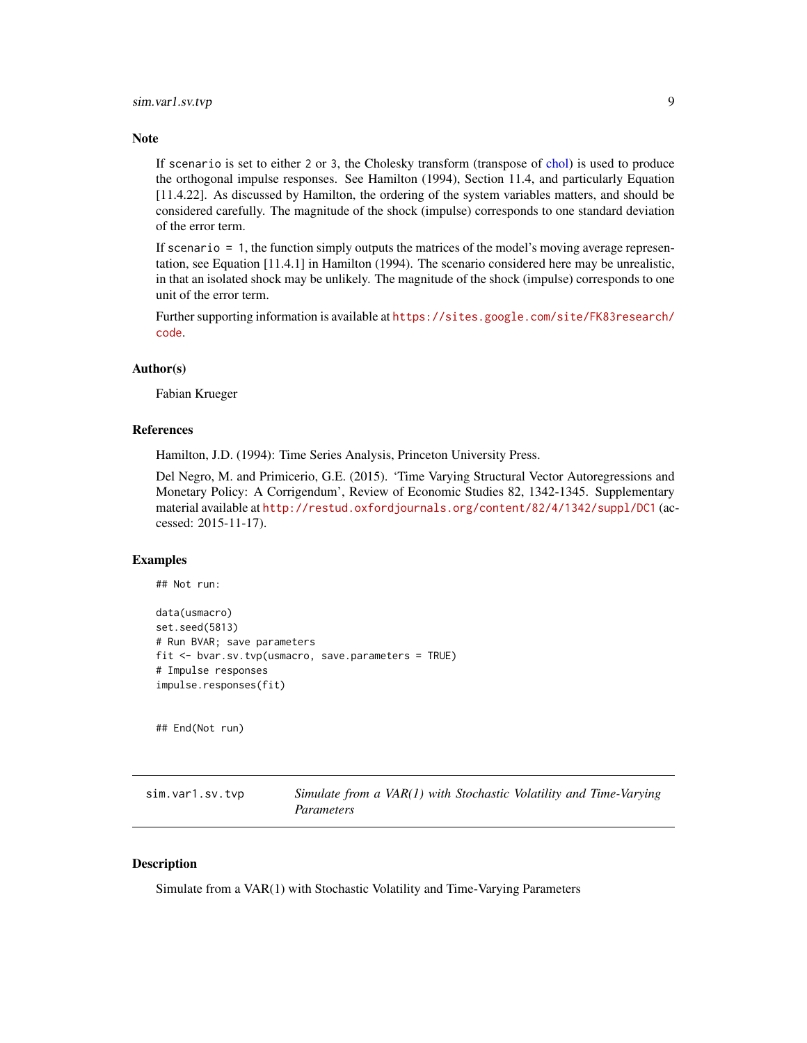#### <span id="page-8-0"></span>**Note**

If scenario is set to either 2 or 3, the Cholesky transform (transpose of [chol\)](#page-0-0) is used to produce the orthogonal impulse responses. See Hamilton (1994), Section 11.4, and particularly Equation [11.4.22]. As discussed by Hamilton, the ordering of the system variables matters, and should be considered carefully. The magnitude of the shock (impulse) corresponds to one standard deviation of the error term.

If scenario  $= 1$ , the function simply outputs the matrices of the model's moving average representation, see Equation [11.4.1] in Hamilton (1994). The scenario considered here may be unrealistic, in that an isolated shock may be unlikely. The magnitude of the shock (impulse) corresponds to one unit of the error term.

Further supporting information is available at [https://sites.google.com/site/FK83research/](https://sites.google.com/site/FK83research/code) [code](https://sites.google.com/site/FK83research/code).

#### Author(s)

Fabian Krueger

## References

Hamilton, J.D. (1994): Time Series Analysis, Princeton University Press.

Del Negro, M. and Primicerio, G.E. (2015). 'Time Varying Structural Vector Autoregressions and Monetary Policy: A Corrigendum', Review of Economic Studies 82, 1342-1345. Supplementary material available at <http://restud.oxfordjournals.org/content/82/4/1342/suppl/DC1> (accessed: 2015-11-17).

#### Examples

## Not run:

```
data(usmacro)
set.seed(5813)
# Run BVAR; save parameters
fit <- bvar.sv.tvp(usmacro, save.parameters = TRUE)
# Impulse responses
impulse.responses(fit)
```
## End(Not run)

<span id="page-8-1"></span>

| sim.var1.sv.tvp | Simulate from a VAR(1) with Stochastic Volatility and Time-Varying |
|-----------------|--------------------------------------------------------------------|
|                 | <i>Parameters</i>                                                  |

#### **Description**

Simulate from a VAR(1) with Stochastic Volatility and Time-Varying Parameters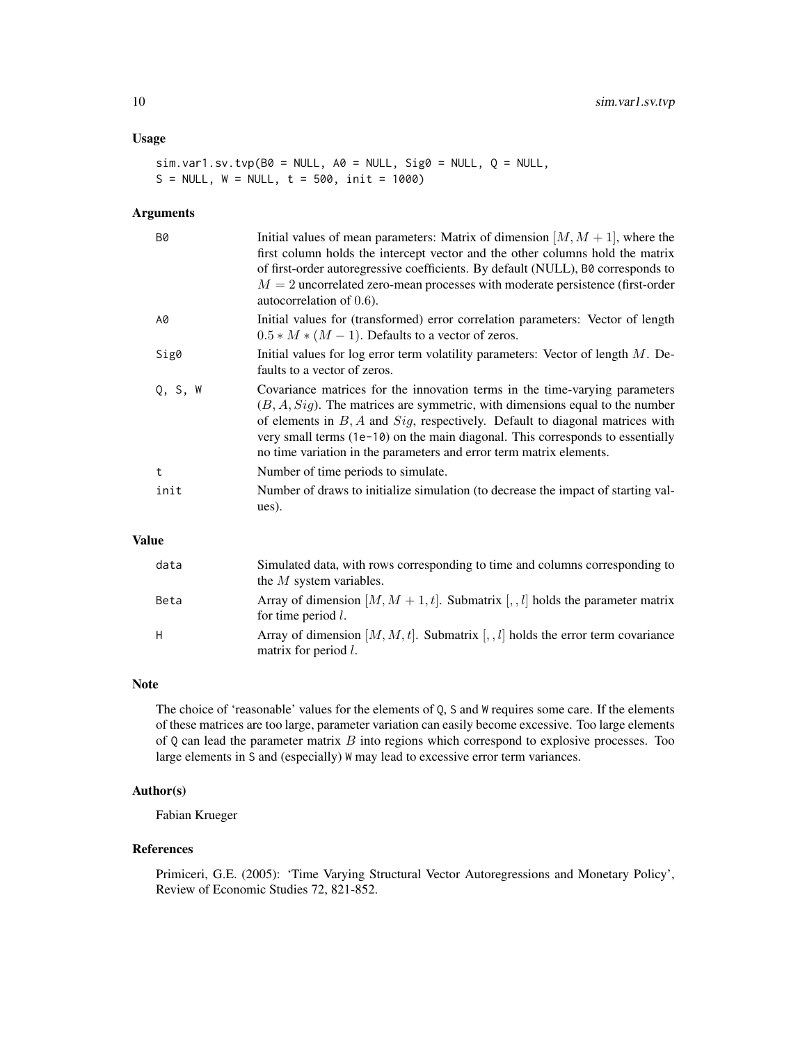#### Usage

```
sim.var1.sv.tvp(B0 = NULL, A0 = NULL, Sig0 = NULL, Q = NULL,S = NULL, W = NULL, t = 500, init = 1000)
```
## Arguments

| <b>B0</b>    | Initial values of mean parameters: Matrix of dimension $[M, M + 1]$ , where the<br>first column holds the intercept vector and the other columns hold the matrix<br>of first-order autoregressive coefficients. By default (NULL), B0 corresponds to<br>$M = 2$ uncorrelated zero-mean processes with moderate persistence (first-order<br>autocorrelation of $0.6$ ).                                          |
|--------------|-----------------------------------------------------------------------------------------------------------------------------------------------------------------------------------------------------------------------------------------------------------------------------------------------------------------------------------------------------------------------------------------------------------------|
| A0           | Initial values for (transformed) error correlation parameters: Vector of length<br>$0.5 * M * (M - 1)$ . Defaults to a vector of zeros.                                                                                                                                                                                                                                                                         |
| Sig0         | Initial values for log error term volatility parameters: Vector of length $M$ . De-<br>faults to a vector of zeros.                                                                                                                                                                                                                                                                                             |
| Q, S, W      | Covariance matrices for the innovation terms in the time-varying parameters<br>$(B, A, Sig)$ . The matrices are symmetric, with dimensions equal to the number<br>of elements in $B$ , $A$ and $Sig$ , respectively. Default to diagonal matrices with<br>very small terms (1e-10) on the main diagonal. This corresponds to essentially<br>no time variation in the parameters and error term matrix elements. |
| $\mathbf{t}$ | Number of time periods to simulate.                                                                                                                                                                                                                                                                                                                                                                             |
| init         | Number of draws to initialize simulation (to decrease the impact of starting val-<br>ues).                                                                                                                                                                                                                                                                                                                      |

## Value

| data | Simulated data, with rows corresponding to time and columns corresponding to<br>the $M$ system variables.     |
|------|---------------------------------------------------------------------------------------------------------------|
| Beta | Array of dimension $[M, M + 1, t]$ . Submatrix $[, I]$ holds the parameter matrix<br>for time period $l$ .    |
| H    | Array of dimension $[M, M, t]$ . Submatrix $[, I]$ holds the error term covariance<br>matrix for period $l$ . |

#### Note

The choice of 'reasonable' values for the elements of Q, S and W requires some care. If the elements of these matrices are too large, parameter variation can easily become excessive. Too large elements of  $Q$  can lead the parameter matrix  $B$  into regions which correspond to explosive processes. Too large elements in S and (especially) W may lead to excessive error term variances.

## Author(s)

Fabian Krueger

## References

Primiceri, G.E. (2005): 'Time Varying Structural Vector Autoregressions and Monetary Policy', Review of Economic Studies 72, 821-852.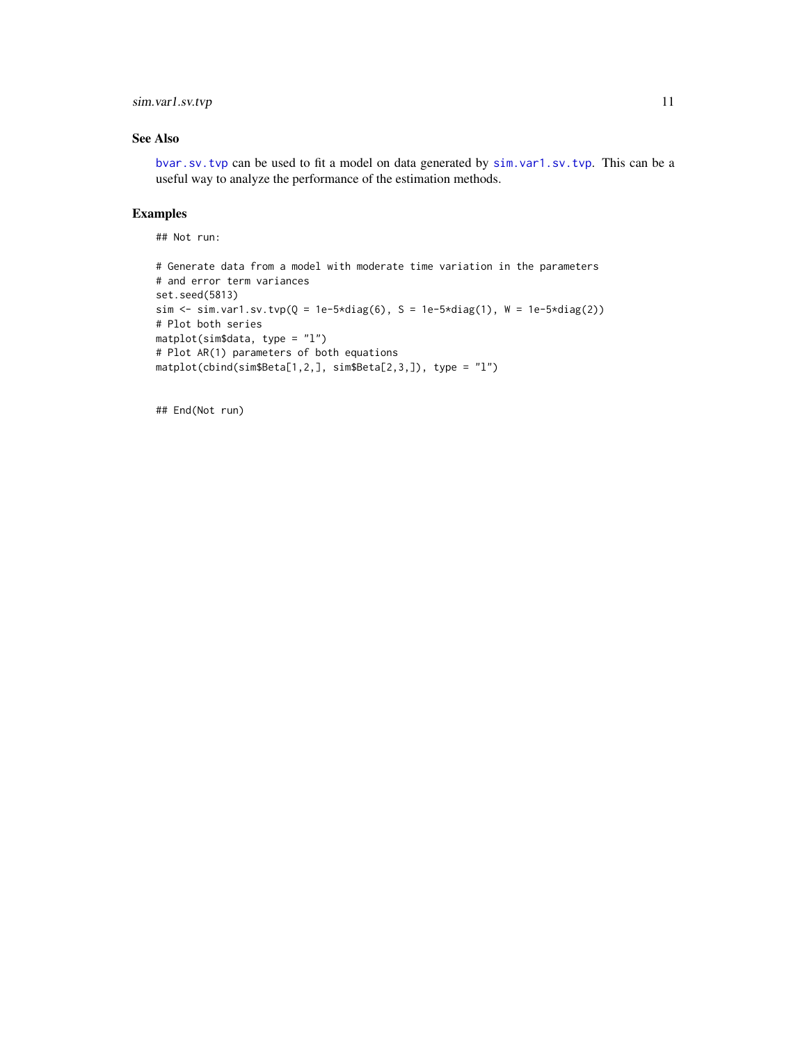## <span id="page-10-0"></span>sim.var1.sv.tvp 11

## See Also

[bvar.sv.tvp](#page-2-1) can be used to fit a model on data generated by [sim.var1.sv.tvp](#page-8-1). This can be a useful way to analyze the performance of the estimation methods.

## Examples

## Not run:

```
# Generate data from a model with moderate time variation in the parameters
# and error term variances
set.seed(5813)
sim <- sim.var1.sv.tvp(Q = 1e-5*diag(6), S = 1e-5*diag(1), W = 1e-5*diag(2))
# Plot both series
matplot(sim$data, type = "l")
# Plot AR(1) parameters of both equations
matplot(cbind(sim$Beta[1,2,], sim$Beta[2,3,]), type = "l")
```
## End(Not run)